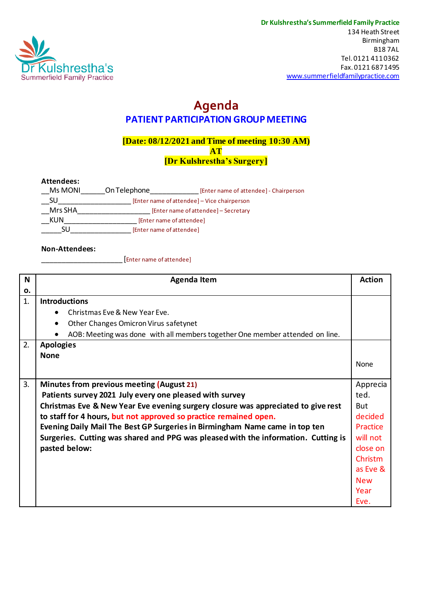

## **Agenda PATIENT PARTICIPATION GROUP MEETING**

### **[Date: 08/12/2021 and Time of meeting 10:30 AM) AT [Dr Kulshrestha's Surgery]**

**Attendees:**

| Ms MONI | On Telephone                         | [Enter name of attendee] - Chairperson      |
|---------|--------------------------------------|---------------------------------------------|
| SU      |                                      | [Enter name of attendee] - Vice chairperson |
| Mrs SHA | [Enter name of attendee] - Secretary |                                             |
| KUN     | [Enter name of attendee]             |                                             |
| SU      | [Enter name of attendee]             |                                             |
|         |                                      |                                             |

#### **Non-Attendees:**

\_\_\_\_\_\_\_\_\_\_\_\_\_\_\_\_\_\_\_\_ [Enter name of attendee]

| N  | <b>Agenda Item</b>                                                                 | <b>Action</b> |  |
|----|------------------------------------------------------------------------------------|---------------|--|
| ο. |                                                                                    |               |  |
| 1. | <b>Introductions</b>                                                               |               |  |
|    | Christmas Eve & New Year Eve.                                                      |               |  |
|    | Other Changes Omicron Virus safetynet<br>$\bullet$                                 |               |  |
|    | AOB: Meeting was done with all members together One member attended on line.       |               |  |
| 2. | <b>Apologies</b>                                                                   |               |  |
|    | <b>None</b>                                                                        |               |  |
|    |                                                                                    | None          |  |
|    |                                                                                    | Apprecia      |  |
|    | 3.<br><b>Minutes from previous meeting (August 21)</b>                             |               |  |
|    | Patients survey 2021 July every one pleased with survey                            | ted.          |  |
|    | Christmas Eve & New Year Eve evening surgery closure was appreciated to give rest  |               |  |
|    | to staff for 4 hours, but not approved so practice remained open.                  |               |  |
|    | Evening Daily Mail The Best GP Surgeries in Birmingham Name came in top ten        |               |  |
|    | Surgeries. Cutting was shared and PPG was pleased with the information. Cutting is | will not      |  |
|    | pasted below:                                                                      | close on      |  |
|    |                                                                                    | Christm       |  |
|    |                                                                                    | as Eve &      |  |
|    |                                                                                    | <b>New</b>    |  |
|    |                                                                                    | Year          |  |
|    |                                                                                    | Eve.          |  |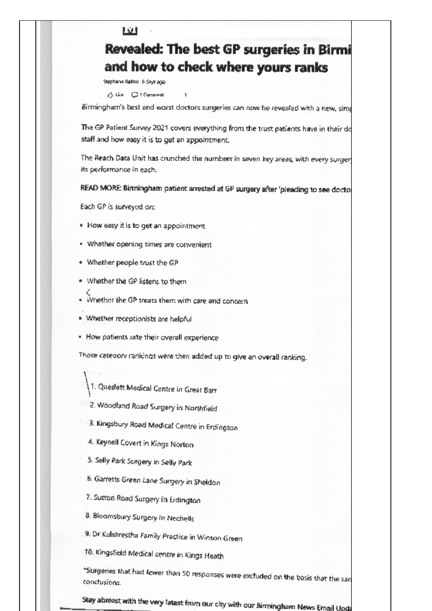#### TW.

# **Revealed: The best GP surgeries in Birmi** and how to check where yours ranks

Stephanie Balloo iš šays ago

Stick CitCommerc

Birmingham's best and worst doctors surgeries can now be revealed with a new, simp

The GP Patient Survey 2021 covers everything from the trust patients have in their do staff and how easy it is to get an appointment.

The Reach Data Unit has crunched the numbers in seven key areas, with every surgen its performance in each.

READ MORE: Binningham patient arrested at GP surgery after 'pleading to see doctor

Each GP is surveyed on:

- . How easy it is to get an appointment
- . Whether opening times are convenient
- . Whether people trust the GP
- · Whether the GP listens to them
- Whether the GP treats them with care and concern
- · Whether receptionists are belpful
- . How patients rate their overall experience

Those category rankings were then added up to give an overall ranking.

- 1. Queslett Medical Centre in Great Barr
- 2. Woodland Road Surgery in Northfield
- 3. Kingsbury Road Medical Centre in Erdingban
- 4. Keynell Covert in Kings Norton
- 5. Selly Park Surgery in Selly Park
- 6. Garretts Green Lane Surgery in Sheldon
- 7. Sutton Road Surgery in Erdington
- 8. Bloomsbury Surgery in Nechells
- 9. Dr Kulshrestha Family Practice in Winson Green
- 10. Kingsfield Medical centre in Kings Heath

\*Surgeries that had fewer than 50 responses were excluded on the basis that the san condusions.

Stay abreast with the very latest from our city with our Birmingham News Email Upda